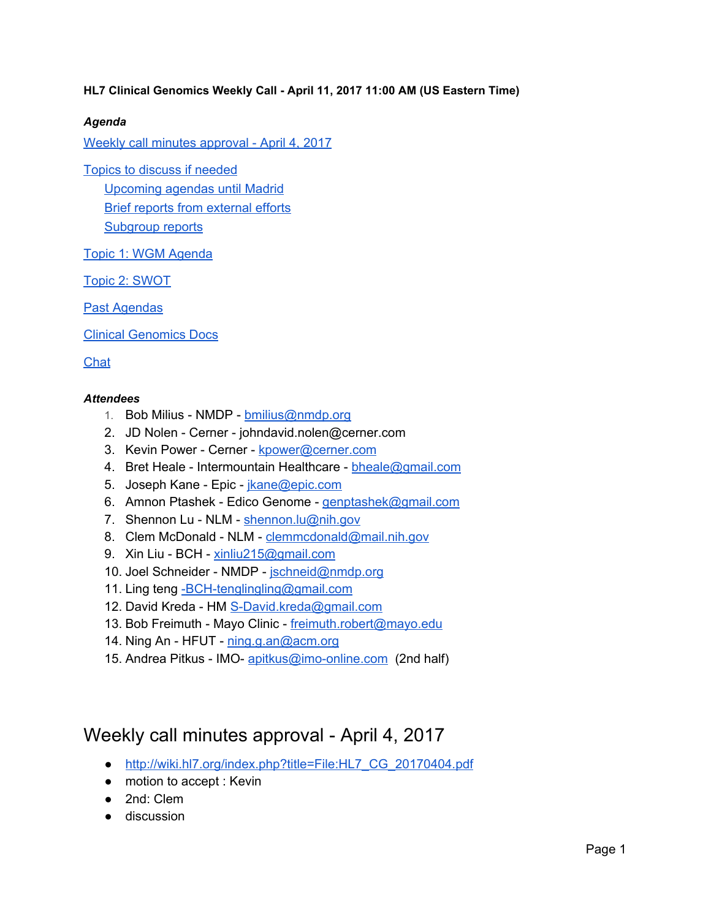### **HL7 Clinical Genomics Weekly Call - April 11, 2017 11:00 AM (US Eastern Time)**

### *Agenda*

Weekly call minutes [approval](#page-0-0) - April 4, 2017

Topics to discuss if [needed](#page-1-2)

[Upcoming](#page-1-3) agendas until Madrid Brief reports from [external](#page-1-0) efforts [Subgroup](#page-1-1) reports

Topic 1: WGM [Agenda](#page-2-0)

Topic 2: [SWOT](#page-2-1)

Past [Agendas](#page-2-2)

Clinical [Genomics](#page-2-3) Docs

[Chat](#page-3-0)

#### *Attendees*

- 1. Bob Milius NMDP [bmilius@nmdp.org](mailto:bmilius@nmdp.org)
- 2. JD Nolen Cerner johndavid.nolen@cerner.com
- 3. Kevin Power Cerner [kpower@cerner.com](mailto:kpower@cerner.com)
- 4. Bret Heale Intermountain Healthcare [bheale@gmail.com](mailto:bheale@gmail.com)
- 5. Joseph Kane Epic *[jkane@epic.com](mailto:jkane@epic.com)*
- 6. Amnon Ptashek Edico Genome [genptashek@gmail.com](mailto:genptashek@gmail.com)
- 7. Shennon Lu NLM [shennon.lu@nih.gov](mailto:shennon.lu@nih.gov)
- 8. Clem McDonald NLM [clemmcdonald@mail.nih.gov](mailto:clemmcdonald@mail.nih.gov)
- 9. Xin Liu BCH [xinliu215@gmail.com](mailto:xinliu215@gmail.com)
- 10. Joel Schneider NMDP [jschneid@nmdp.org](mailto:jschneid@nmdp.org)
- 11. Ling teng [-BCH-tenglingling@gmail.com](mailto:-BCH-tenglingling@gmail.com)
- 12. David Kreda HM [S-David.kreda@gmail.com](mailto:S-David.kreda@gmail.com)
- 13. Bob Freimuth Mayo Clinic [freimuth.robert@mayo.edu](mailto:freimuth.robert@mayo.edu)
- 14. Ning An HFUT [ning.g.an@acm.org](mailto:ning.g.an@acm.org)
- 15. Andrea Pitkus IMO- [apitkus@imo-online.com](mailto:apitkus@imo-online.com) (2nd half)

### <span id="page-0-0"></span>Weekly call minutes approval - April 4, 2017

- [http://wiki.hl7.org/index.php?title=File:HL7\\_CG\\_20170404.pdf](http://wiki.hl7.org/index.php?title=File:HL7_CG_20170404.pdf)
- motion to accept : Kevin
- 2nd: Clem
- discussion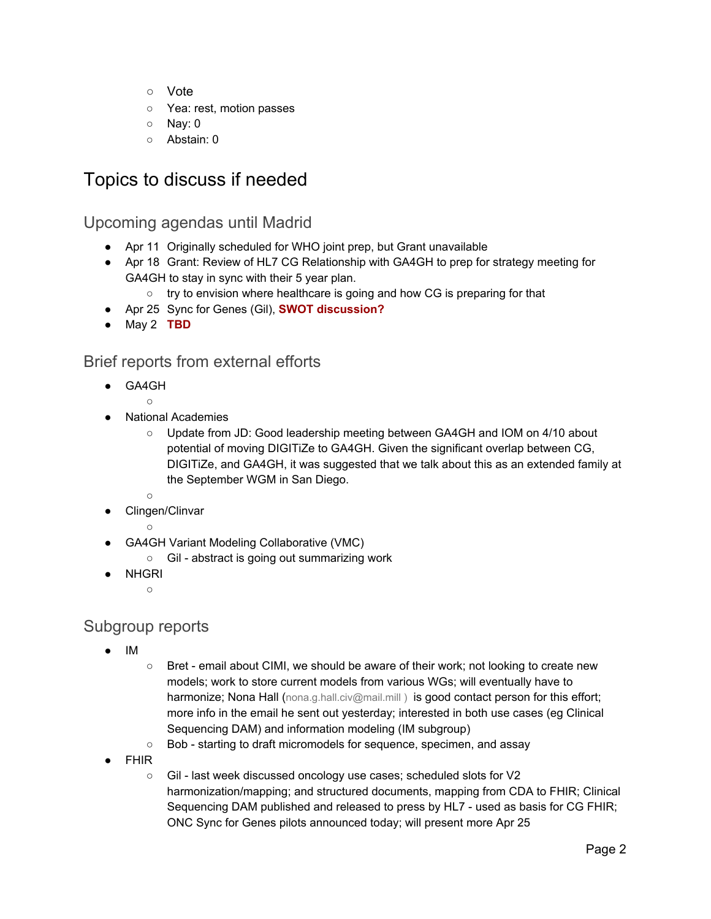- Vote
- Yea: rest, motion passes
- Nay: 0
- Abstain: 0

## <span id="page-1-2"></span>Topics to discuss if needed

<span id="page-1-3"></span>Upcoming agendas until Madrid

- Apr 11 Originally scheduled for WHO joint prep, but Grant unavailable
- Apr 18 Grant: Review of HL7 CG Relationship with GA4GH to prep for strategy meeting for GA4GH to stay in sync with their 5 year plan.
	- try to envision where healthcare is going and how CG is preparing for that
- Apr 25 Sync for Genes (Gil), **SWOT discussion?**
- May 2 **TBD**

### <span id="page-1-0"></span>Brief reports from external efforts

- GA4GH
- $\circ$ **National Academies** 
	- Update from JD: Good leadership meeting between GA4GH and IOM on 4/10 about potential of moving DIGITiZe to GA4GH. Given the significant overlap between CG, DIGITiZe, and GA4GH, it was suggested that we talk about this as an extended family at the September WGM in San Diego.
	- ○
- Clingen/Clinvar
	- ○
- GA4GH Variant Modeling Collaborative (VMC)
	- Gil abstract is going out summarizing work
- **NHGRI** 
	- $\circ$

### <span id="page-1-1"></span>Subgroup reports

- IM
- Bret email about CIMI, we should be aware of their work; not looking to create new models; work to store current models from various WGs; will eventually have to harmonize; Nona Hall (nona.g.hall.civ@mail.mill) is good contact person for this effort; more info in the email he sent out yesterday; interested in both use cases (eg Clinical Sequencing DAM) and information modeling (IM subgroup)
- Bob starting to draft micromodels for sequence, specimen, and assay
- **FHIR** 
	- Gil last week discussed oncology use cases; scheduled slots for V2 harmonization/mapping; and structured documents, mapping from CDA to FHIR; Clinical Sequencing DAM published and released to press by HL7 - used as basis for CG FHIR; ONC Sync for Genes pilots announced today; will present more Apr 25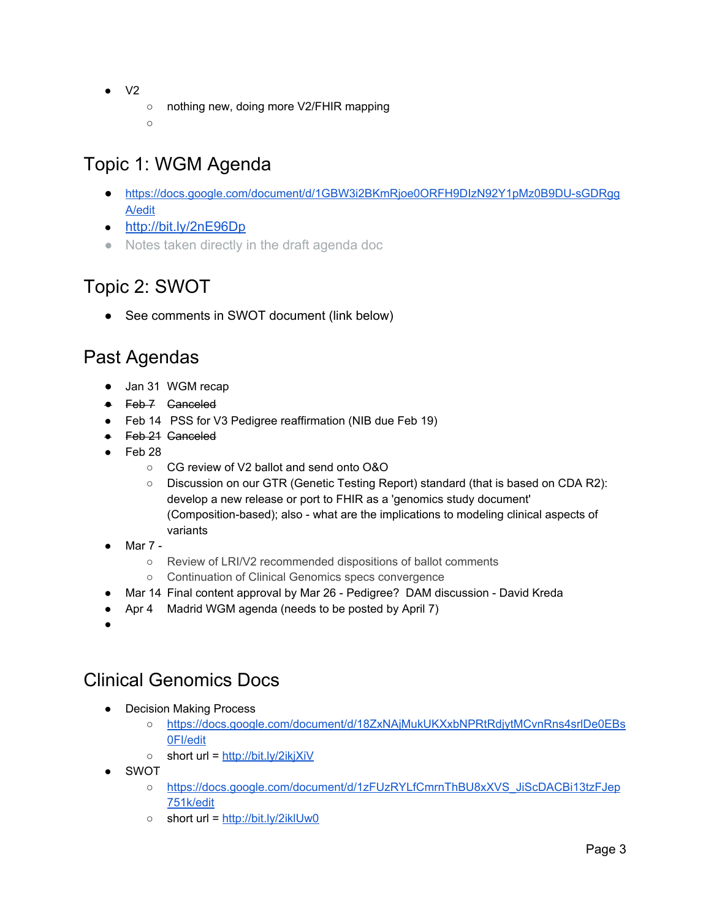- $\bullet$  V2
- nothing new, doing more V2/FHIR mapping

○

# <span id="page-2-0"></span>Topic 1: WGM Agenda

- [https://docs.google.com/document/d/1GBW3i2BKmRjoe0ORFH9DIzN92Y1pMz0B9DU-sGDRgg](https://docs.google.com/document/d/1GBW3i2BKmRjoe0ORFH9DIzN92Y1pMz0B9DU-sGDRggA/edit) [A/edit](https://docs.google.com/document/d/1GBW3i2BKmRjoe0ORFH9DIzN92Y1pMz0B9DU-sGDRggA/edit)
- <http://bit.ly/2nE96Dp>
- Notes taken directly in the draft agenda doc

# <span id="page-2-1"></span>Topic 2: SWOT

● See comments in SWOT document (link below)

## <span id="page-2-2"></span>Past Agendas

- Jan 31 WGM recap
- Feb 7 Ganceled
- Feb 14 PSS for V3 Pedigree reaffirmation (NIB due Feb 19)
- Feb 21 Ganceled
- Feb 28
	- CG review of V2 ballot and send onto O&O
	- Discussion on our GTR (Genetic Testing Report) standard (that is based on CDA R2): develop a new release or port to FHIR as a 'genomics study document' (Composition-based); also - what are the implications to modeling clinical aspects of variants
- Mar 7 -
	- Review of LRI/V2 recommended dispositions of ballot comments
	- Continuation of Clinical Genomics specs convergence
- Mar 14 Final content approval by Mar 26 Pedigree? DAM discussion David Kreda
- Apr 4 Madrid WGM agenda (needs to be posted by April 7)
- ●

## <span id="page-2-3"></span>Clinical Genomics Docs

- Decision Making Process
	- [https://docs.google.com/document/d/18ZxNAjMukUKXxbNPRtRdjytMCvnRns4srlDe0EBs](https://docs.google.com/document/d/18ZxNAjMukUKXxbNPRtRdjytMCvnRns4srlDe0EBs0FI/edit) [0FI/edit](https://docs.google.com/document/d/18ZxNAjMukUKXxbNPRtRdjytMCvnRns4srlDe0EBs0FI/edit)
	- short url = <http://bit.ly/2ikjXiV>
- SWOT
	- [https://docs.google.com/document/d/1zFUzRYLfCmrnThBU8xXVS\\_JiScDACBi13tzFJep](https://docs.google.com/document/d/1zFUzRYLfCmrnThBU8xXVS_JiScDACBi13tzFJep751k/edit) [751k/edit](https://docs.google.com/document/d/1zFUzRYLfCmrnThBU8xXVS_JiScDACBi13tzFJep751k/edit)
	- short url = <http://bit.ly/2iklUw0>